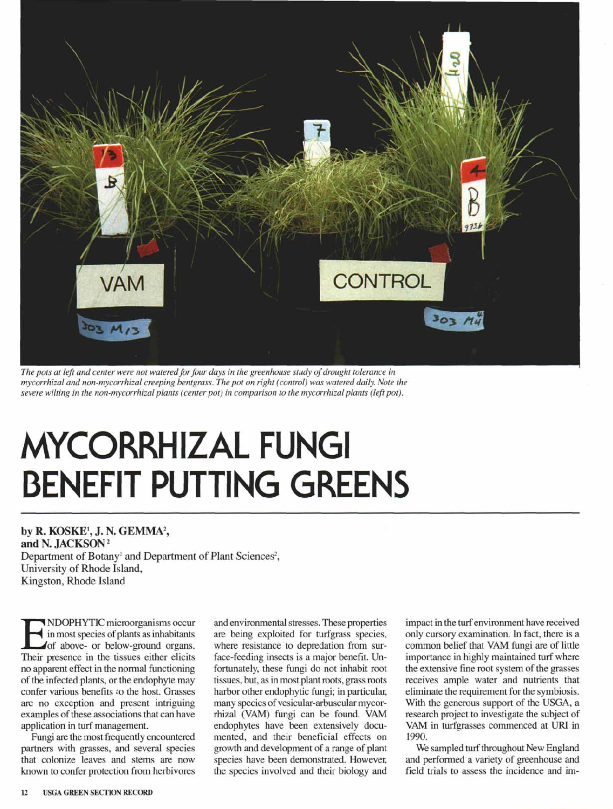

The pots at left and center were not watered for four days in the greenhouse study of drought tolerance in *mycorrhizal and non-mycorrhizal creeping bentgrass. The pot on right (control) was watered daily. Note the severe wilting in the non-mycorrhizal plants (center pot) in comparison to the mycorrhizal plants (left pot).*

## **MYCORRHIZAL FUNGI BENEFIT PUTTING GREENS**

by R. KOSKE<sup>1</sup>, J. N. GEMMA<sup>2</sup>, and N. JACKSON<sup>2</sup> Department of Botany<sup>1</sup> and Department of Plant Sciences<sup>2</sup> University of Rhode Island,

Kingston, Rhode Island

NDOPHYTIC microorganisms occured in most species of plants as inhabitants<br>of above- or below-ground organs.<br>Their presence in the tissues either elicits NDOPHYTICmicroorganisms occur in most species of plants as inhabitants of above- or below-ground organs. no apparent effect in the normal functioning of the infected plants, or the endophyte may confer various benefits to the host. Grasses are no exception and present intriguing examples of these associations that can have application in turf management.

Fungi are the most frequently encountered partners with grasses, and several species that colonize leaves and stems are now known to confer protection from herbivores and environmental stresses. These properties are being exploited for turfgrass species, where resistance to depredation from surface-feeding insects is a major benefit. Unfortunately, these fungi do not inhabit root tissues, but, as in most plant roots, grass roots harbor other endophytic fungi; in particular, many species of vesicular-arbuscular mycorrhizal (VAM) fungi can be found. VAM endophytes have been extensively documented, and their beneficial effects on growth and development of a range of plant species have been demonstrated. However, the species involved and their biology and impact in the turf environment have received only cursory examination. Infact, there is a common belief that VAM fungi are of little importance in highly maintained turf where the extensive fme root system of the grasses receives ample water and nutrients that eliminate the requirement for the symbiosis. With the generous support of the USGA, a research project to investigate the subject of VAM in turfgrasses commenced at URI in 1990.

We sampled turf throughout New England and performed a variety of greenhouse and field trials to assess the incidence and im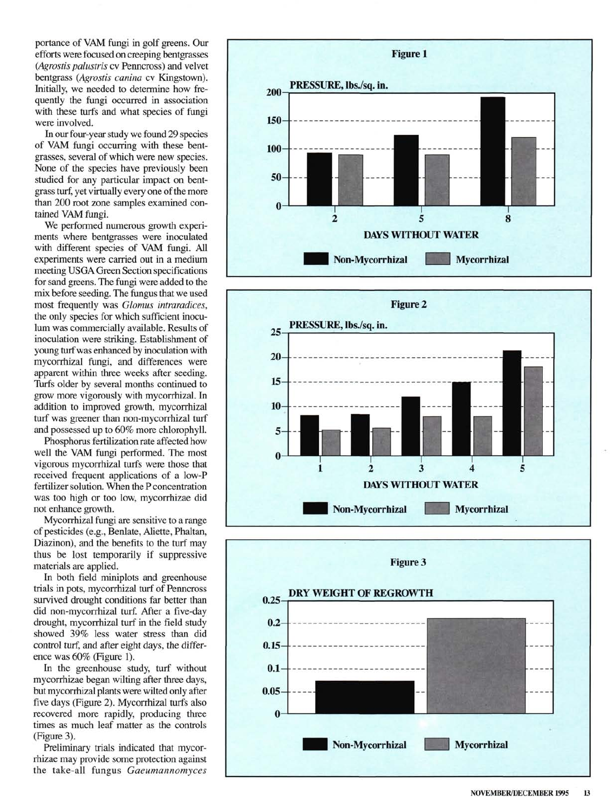portance of VAM fungi in golf greens. Our efforts were focused on creeping bentgrasses *(Agrostis palustris* cv Penncross) and velvet bentgrass *(Agrostis canina* cv Kingstown). Initially, we needed to determine how frequently the fungi occurred in association with these turfs and what species of fungi were involved.

In our four-year study we found 29 species of VAM fungi occurring with these bentgrasses, several of which were new species. None of the species have previously been studied for any particular impact on bentgrass turf, yet virtually every one of the more than 200 root zone samples examined contained VAM fungi.

We performed numerous growth experiments where bentgrasses were inoculated with different species of VAM fungi. All experiments were carried out in a medium meeting USGA Green Section specifications for sand greens. The fungi were added to the mix before seeding. The fungus that we used most frequently was *Glomus intraradices,*  the only species for which sufficient inoculum was commercially available. Results of inoculation were striking. Establishment of young turf was enhanced by inoculation with mycorrhizal fungi, and differences were apparent within three weeks after seeding. Turfs older by several months continued to grow more vigorously with mycorrhizal. In addition to improved growth, mycorrhizal turf was greener than non-mycorrhizal turf and possessed up to 60% more chlorophyll.

Phosphorus fertilization rate affected how well the VAM fungi performed. The most vigorous mycorrhizal turfs were those that received frequent applications of a low-P fertilizer solution. When the P concentration was too high or too low, mycorrhizae did not enhance growth.

Mycorrhizal fungi are sensitive to a range of pesticides (e.g., Benlate, Aliette, Phaltan, Diazinon), and the benefits to the turf may thus be lost temporarily if suppressive materials are applied.

In both field miniplots and greenhouse trials in pots, mycorrhizal turf of Penncross survived drought conditions far better than did non-mycorrhizal turf. After a five-day drought, mycorrhizal turf in the field study showed 39% less water stress than did control turf, and after eight days, the difference was 60% (Figure 1).

In the greenhouse study, turf without mycorrhizae began wilting after three days, but mycorrhizal plants were wilted only after five days (Figure 2). Mycorrhizal turfs also recovered more rapidly, producing three times as much leaf matter as the controls (Figure 3).

Preliminary trials indicated that mycorrhizae may provide some protection against the take-all fungus *Gaeumannomyces*